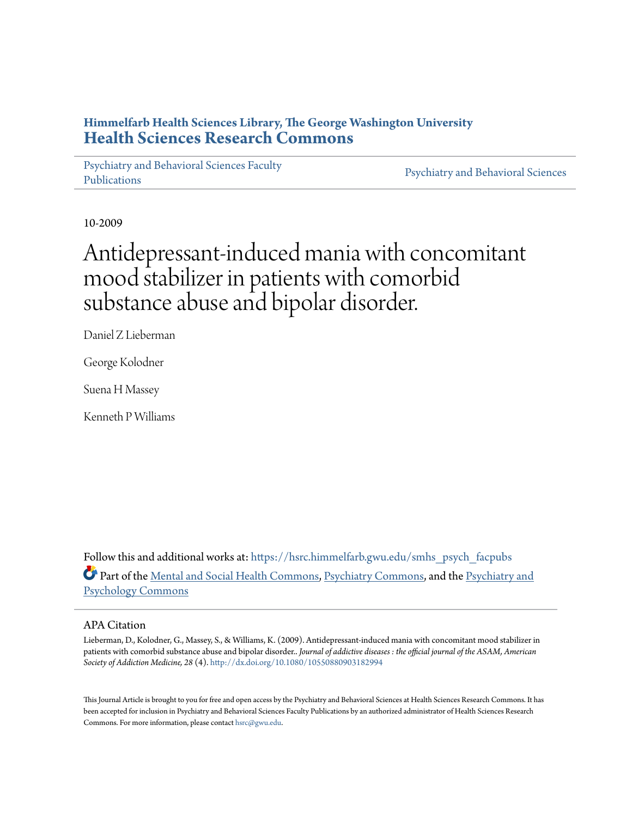# **Himmelfarb Health Sciences Library, The George Washington University [Health Sciences Research Commons](https://hsrc.himmelfarb.gwu.edu?utm_source=hsrc.himmelfarb.gwu.edu%2Fsmhs_psych_facpubs%2F539&utm_medium=PDF&utm_campaign=PDFCoverPages)**

[Psychiatry and Behavioral Sciences Faculty](https://hsrc.himmelfarb.gwu.edu/smhs_psych_facpubs?utm_source=hsrc.himmelfarb.gwu.edu%2Fsmhs_psych_facpubs%2F539&utm_medium=PDF&utm_campaign=PDFCoverPages) [Publications](https://hsrc.himmelfarb.gwu.edu/smhs_psych_facpubs?utm_source=hsrc.himmelfarb.gwu.edu%2Fsmhs_psych_facpubs%2F539&utm_medium=PDF&utm_campaign=PDFCoverPages)

[Psychiatry and Behavioral Sciences](https://hsrc.himmelfarb.gwu.edu/smhs_psych?utm_source=hsrc.himmelfarb.gwu.edu%2Fsmhs_psych_facpubs%2F539&utm_medium=PDF&utm_campaign=PDFCoverPages)

10-2009

# Antidepressant-induced mania with concomitant mood stabilizer in patients with comorbid substance abuse and bipolar disorder.

Daniel Z Lieberman

George Kolodner

Suena H Massey

Kenneth P Williams

Follow this and additional works at: [https://hsrc.himmelfarb.gwu.edu/smhs\\_psych\\_facpubs](https://hsrc.himmelfarb.gwu.edu/smhs_psych_facpubs?utm_source=hsrc.himmelfarb.gwu.edu%2Fsmhs_psych_facpubs%2F539&utm_medium=PDF&utm_campaign=PDFCoverPages) Part of the [Mental and Social Health Commons](http://network.bepress.com/hgg/discipline/709?utm_source=hsrc.himmelfarb.gwu.edu%2Fsmhs_psych_facpubs%2F539&utm_medium=PDF&utm_campaign=PDFCoverPages), [Psychiatry Commons,](http://network.bepress.com/hgg/discipline/704?utm_source=hsrc.himmelfarb.gwu.edu%2Fsmhs_psych_facpubs%2F539&utm_medium=PDF&utm_campaign=PDFCoverPages) and the [Psychiatry and](http://network.bepress.com/hgg/discipline/908?utm_source=hsrc.himmelfarb.gwu.edu%2Fsmhs_psych_facpubs%2F539&utm_medium=PDF&utm_campaign=PDFCoverPages) [Psychology Commons](http://network.bepress.com/hgg/discipline/908?utm_source=hsrc.himmelfarb.gwu.edu%2Fsmhs_psych_facpubs%2F539&utm_medium=PDF&utm_campaign=PDFCoverPages)

#### APA Citation

Lieberman, D., Kolodner, G., Massey, S., & Williams, K. (2009). Antidepressant-induced mania with concomitant mood stabilizer in patients with comorbid substance abuse and bipolar disorder.. *Journal of addictive diseases : the official journal of the ASAM, American Society of Addiction Medicine, 28* (4). <http://dx.doi.org/10.1080/10550880903182994>

This Journal Article is brought to you for free and open access by the Psychiatry and Behavioral Sciences at Health Sciences Research Commons. It has been accepted for inclusion in Psychiatry and Behavioral Sciences Faculty Publications by an authorized administrator of Health Sciences Research Commons. For more information, please contact [hsrc@gwu.edu.](mailto:hsrc@gwu.edu)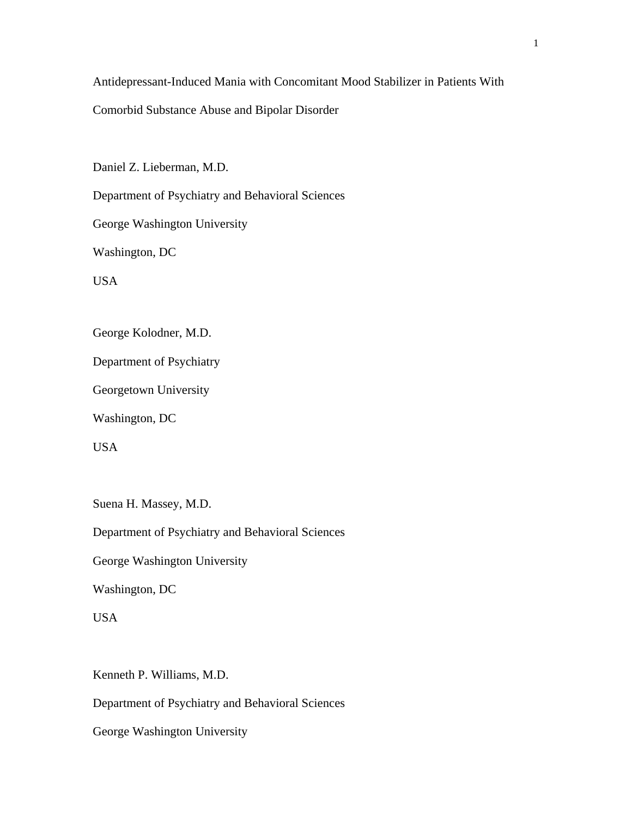Antidepressant-Induced Mania with Concomitant Mood Stabilizer in Patients With

Comorbid Substance Abuse and Bipolar Disorder

Daniel Z. Lieberman, M.D.

Department of Psychiatry and Behavioral Sciences

George Washington University

Washington, DC

USA

George Kolodner, M.D.

Department of Psychiatry

Georgetown University

Washington, DC

USA

Suena H. Massey, M.D.

Department of Psychiatry and Behavioral Sciences

George Washington University

Washington, DC

USA

Kenneth P. Williams, M.D.

Department of Psychiatry and Behavioral Sciences

George Washington University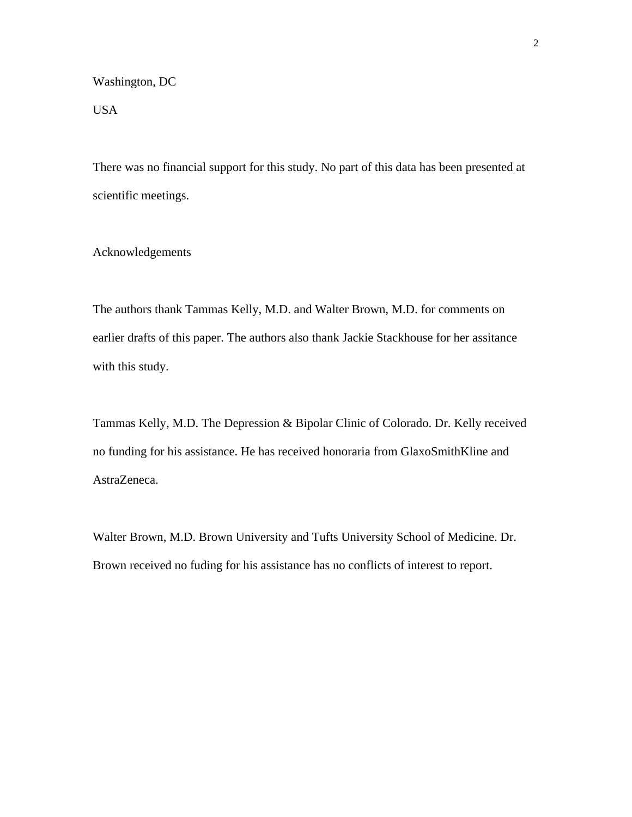Washington, DC

USA

There was no financial support for this study. No part of this data has been presented at scientific meetings.

Acknowledgements

The authors thank Tammas Kelly, M.D. and Walter Brown, M.D. for comments on earlier drafts of this paper. The authors also thank Jackie Stackhouse for her assitance with this study.

Tammas Kelly, M.D. The Depression & Bipolar Clinic of Colorado. Dr. Kelly received no funding for his assistance. He has received honoraria from GlaxoSmithKline and AstraZeneca.

Walter Brown, M.D. Brown University and Tufts University School of Medicine. Dr. Brown received no fuding for his assistance has no conflicts of interest to report.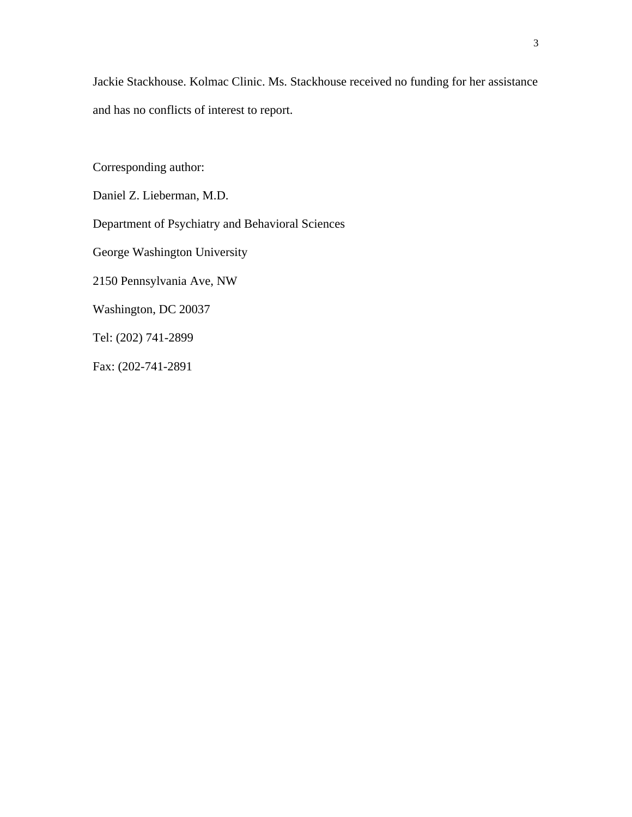Jackie Stackhouse. Kolmac Clinic. Ms. Stackhouse received no funding for her assistance and has no conflicts of interest to report.

Corresponding author:

Daniel Z. Lieberman, M.D.

Department of Psychiatry and Behavioral Sciences

George Washington University

2150 Pennsylvania Ave, NW

Washington, DC 20037

Tel: (202) 741-2899

Fax: (202-741-2891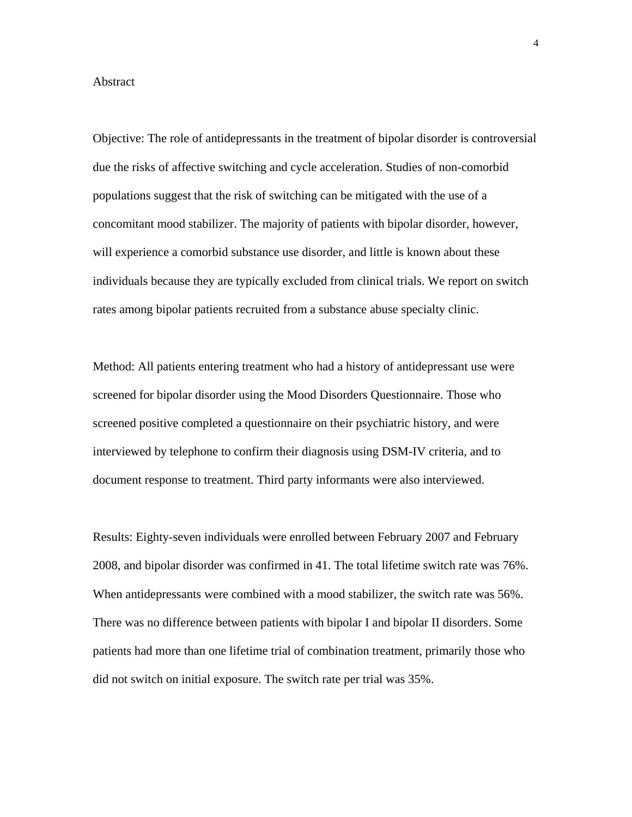#### Abstract

Objective: The role of antidepressants in the treatment of bipolar disorder is controversial due the risks of affective switching and cycle acceleration. Studies of non-comorbid populations suggest that the risk of switching can be mitigated with the use of a concomitant mood stabilizer. The majority of patients with bipolar disorder, however, will experience a comorbid substance use disorder, and little is known about these individuals because they are typically excluded from clinical trials. We report on switch rates among bipolar patients recruited from a substance abuse specialty clinic.

Method: All patients entering treatment who had a history of antidepressant use were screened for bipolar disorder using the Mood Disorders Questionnaire. Those who screened positive completed a questionnaire on their psychiatric history, and were interviewed by telephone to confirm their diagnosis using DSM-IV criteria, and to document response to treatment. Third party informants were also interviewed.

Results: Eighty-seven individuals were enrolled between February 2007 and February 2008, and bipolar disorder was confirmed in 41. The total lifetime switch rate was 76%. When antidepressants were combined with a mood stabilizer, the switch rate was 56%. There was no difference between patients with bipolar I and bipolar II disorders. Some patients had more than one lifetime trial of combination treatment, primarily those who did not switch on initial exposure. The switch rate per trial was 35%.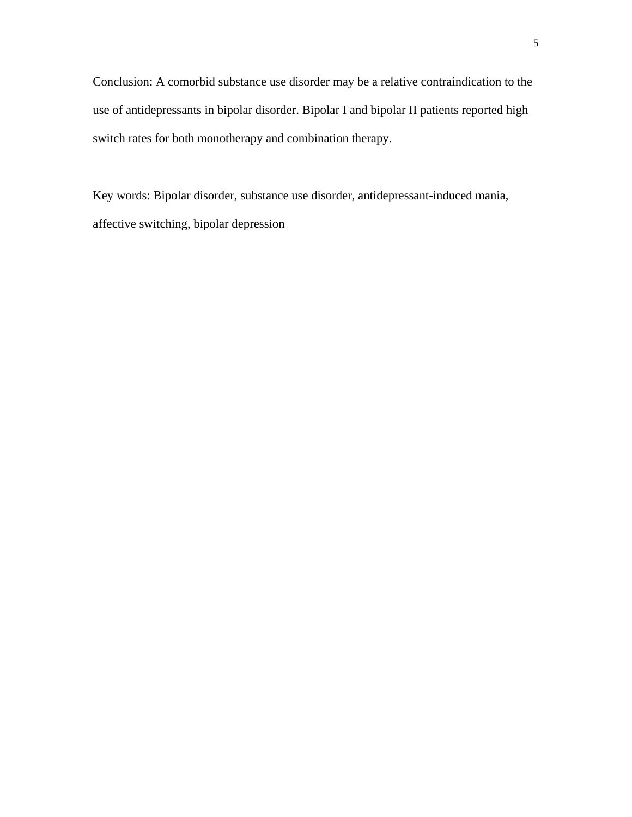Conclusion: A comorbid substance use disorder may be a relative contraindication to the use of antidepressants in bipolar disorder. Bipolar I and bipolar II patients reported high switch rates for both monotherapy and combination therapy.

Key words: Bipolar disorder, substance use disorder, antidepressant-induced mania, affective switching, bipolar depression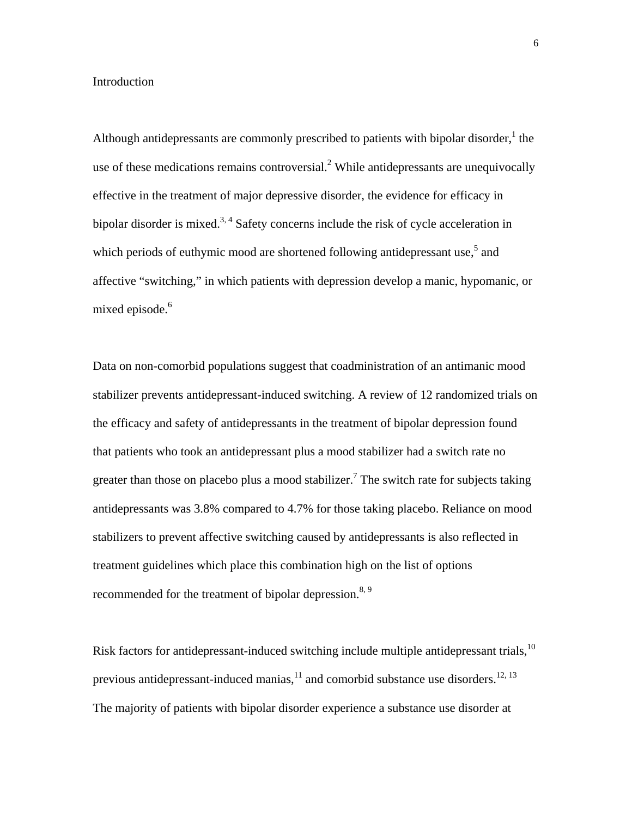#### Introduction

Although antidepressants are commonly prescribed to patients with bipolar disorder,  $\frac{1}{1}$  the use of these medications remains controversial.<sup>2</sup> While antidepressants are unequivocally effective in the treatment of major depressive disorder, the evidence for efficacy in bipolar disorder is mixed.<sup>3, 4</sup> Safety concerns include the risk of cycle acceleration in which periods of euthymic mood are shortened following antidepressant use,<sup>5</sup> and affective "switching," in which patients with depression develop a manic, hypomanic, or mixed episode.<sup>6</sup>

Data on non-comorbid populations suggest that coadministration of an antimanic mood stabilizer prevents antidepressant-induced switching. A review of 12 randomized trials on the efficacy and safety of antidepressants in the treatment of bipolar depression found that patients who took an antidepressant plus a mood stabilizer had a switch rate no greater than those on placebo plus a mood stabilizer.<sup>7</sup> The switch rate for subjects taking antidepressants was 3.8% compared to 4.7% for those taking placebo. Reliance on mood stabilizers to prevent affective switching caused by antidepressants is also reflected in treatment guidelines which place this combination high on the list of options recommended for the treatment of bipolar depression.<sup>8, 9</sup>

Risk factors for antidepressant-induced switching include multiple antidepressant trials,<sup>10</sup> previous antidepressant-induced manias, $^{11}$  and comorbid substance use disorders.  $^{12, 13}$ The majority of patients with bipolar disorder experience a substance use disorder at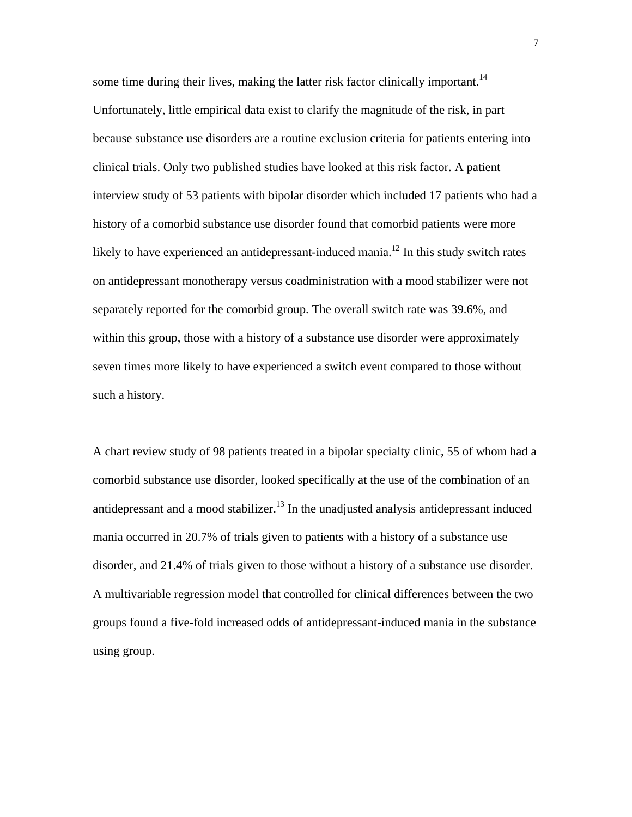some time during their lives, making the latter risk factor clinically important.<sup>14</sup> Unfortunately, little empirical data exist to clarify the magnitude of the risk, in part because substance use disorders are a routine exclusion criteria for patients entering into clinical trials. Only two published studies have looked at this risk factor. A patient interview study of 53 patients with bipolar disorder which included 17 patients who had a history of a comorbid substance use disorder found that comorbid patients were more likely to have experienced an antidepressant-induced mania.<sup>12</sup> In this study switch rates on antidepressant monotherapy versus coadministration with a mood stabilizer were not separately reported for the comorbid group. The overall switch rate was 39.6%, and within this group, those with a history of a substance use disorder were approximately seven times more likely to have experienced a switch event compared to those without such a history.

A chart review study of 98 patients treated in a bipolar specialty clinic, 55 of whom had a comorbid substance use disorder, looked specifically at the use of the combination of an antidepressant and a mood stabilizer.<sup>13</sup> In the unadjusted analysis antidepressant induced mania occurred in 20.7% of trials given to patients with a history of a substance use disorder, and 21.4% of trials given to those without a history of a substance use disorder. A multivariable regression model that controlled for clinical differences between the two groups found a five-fold increased odds of antidepressant-induced mania in the substance using group.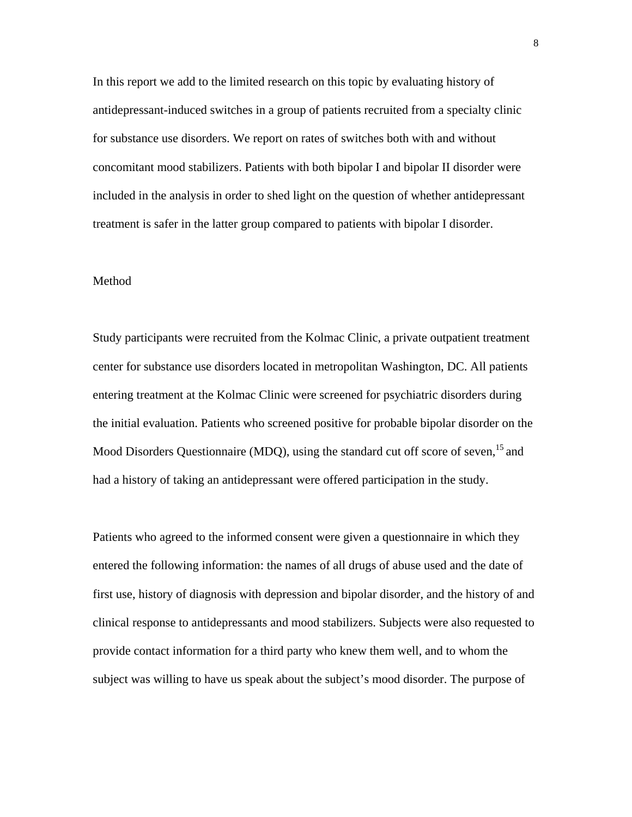In this report we add to the limited research on this topic by evaluating history of antidepressant-induced switches in a group of patients recruited from a specialty clinic for substance use disorders. We report on rates of switches both with and without concomitant mood stabilizers. Patients with both bipolar I and bipolar II disorder were included in the analysis in order to shed light on the question of whether antidepressant treatment is safer in the latter group compared to patients with bipolar I disorder.

## Method

Study participants were recruited from the Kolmac Clinic, a private outpatient treatment center for substance use disorders located in metropolitan Washington, DC. All patients entering treatment at the Kolmac Clinic were screened for psychiatric disorders during the initial evaluation. Patients who screened positive for probable bipolar disorder on the Mood Disorders Questionnaire (MDQ), using the standard cut off score of seven,<sup>15</sup> and had a history of taking an antidepressant were offered participation in the study.

Patients who agreed to the informed consent were given a questionnaire in which they entered the following information: the names of all drugs of abuse used and the date of first use, history of diagnosis with depression and bipolar disorder, and the history of and clinical response to antidepressants and mood stabilizers. Subjects were also requested to provide contact information for a third party who knew them well, and to whom the subject was willing to have us speak about the subject's mood disorder. The purpose of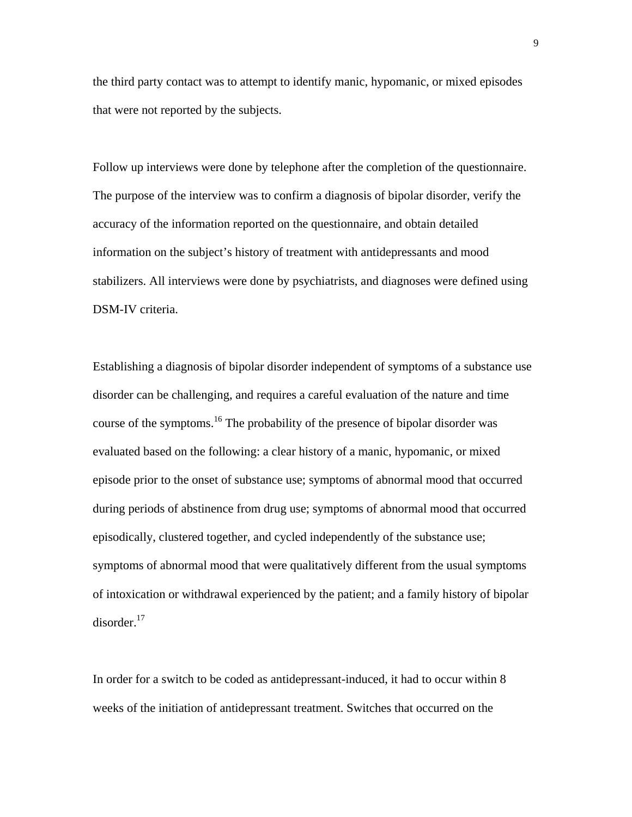the third party contact was to attempt to identify manic, hypomanic, or mixed episodes that were not reported by the subjects.

Follow up interviews were done by telephone after the completion of the questionnaire. The purpose of the interview was to confirm a diagnosis of bipolar disorder, verify the accuracy of the information reported on the questionnaire, and obtain detailed information on the subject's history of treatment with antidepressants and mood stabilizers. All interviews were done by psychiatrists, and diagnoses were defined using DSM-IV criteria.

Establishing a diagnosis of bipolar disorder independent of symptoms of a substance use disorder can be challenging, and requires a careful evaluation of the nature and time course of the symptoms.<sup>16</sup> The probability of the presence of bipolar disorder was evaluated based on the following: a clear history of a manic, hypomanic, or mixed episode prior to the onset of substance use; symptoms of abnormal mood that occurred during periods of abstinence from drug use; symptoms of abnormal mood that occurred episodically, clustered together, and cycled independently of the substance use; symptoms of abnormal mood that were qualitatively different from the usual symptoms of intoxication or withdrawal experienced by the patient; and a family history of bipolar  $disorder.<sup>17</sup>$ 

In order for a switch to be coded as antidepressant-induced, it had to occur within 8 weeks of the initiation of antidepressant treatment. Switches that occurred on the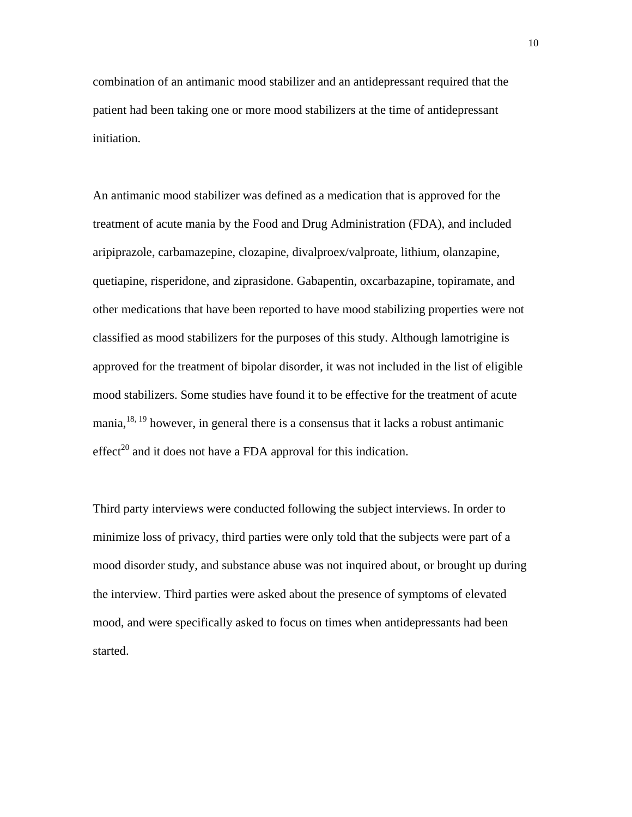combination of an antimanic mood stabilizer and an antidepressant required that the patient had been taking one or more mood stabilizers at the time of antidepressant initiation.

An antimanic mood stabilizer was defined as a medication that is approved for the treatment of acute mania by the Food and Drug Administration (FDA), and included aripiprazole, carbamazepine, clozapine, divalproex/valproate, lithium, olanzapine, quetiapine, risperidone, and ziprasidone. Gabapentin, oxcarbazapine, topiramate, and other medications that have been reported to have mood stabilizing properties were not classified as mood stabilizers for the purposes of this study. Although lamotrigine is approved for the treatment of bipolar disorder, it was not included in the list of eligible mood stabilizers. Some studies have found it to be effective for the treatment of acute mania, $18, 19$  however, in general there is a consensus that it lacks a robust antimanic effect<sup>20</sup> and it does not have a FDA approval for this indication.

Third party interviews were conducted following the subject interviews. In order to minimize loss of privacy, third parties were only told that the subjects were part of a mood disorder study, and substance abuse was not inquired about, or brought up during the interview. Third parties were asked about the presence of symptoms of elevated mood, and were specifically asked to focus on times when antidepressants had been started.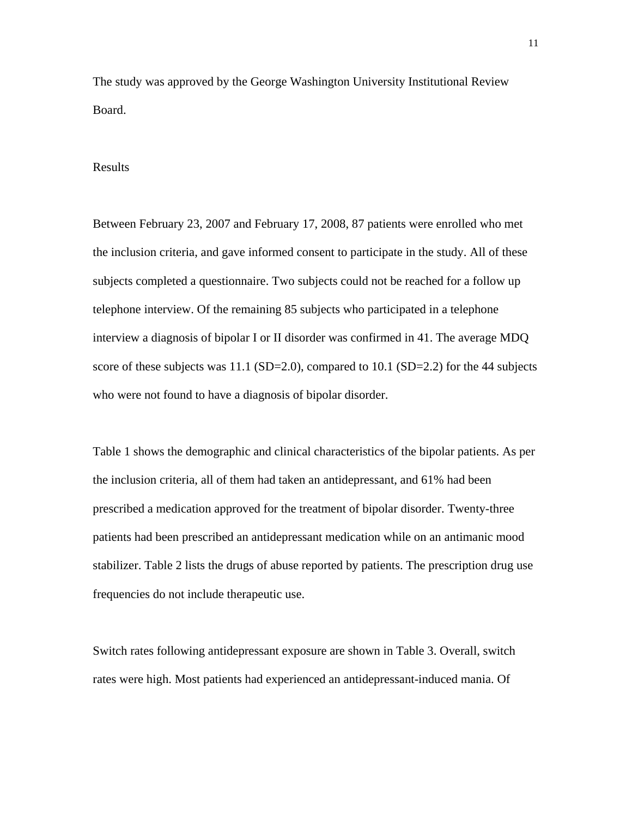The study was approved by the George Washington University Institutional Review Board.

#### Results

Between February 23, 2007 and February 17, 2008, 87 patients were enrolled who met the inclusion criteria, and gave informed consent to participate in the study. All of these subjects completed a questionnaire. Two subjects could not be reached for a follow up telephone interview. Of the remaining 85 subjects who participated in a telephone interview a diagnosis of bipolar I or II disorder was confirmed in 41. The average MDQ score of these subjects was 11.1 (SD=2.0), compared to 10.1 (SD=2.2) for the 44 subjects who were not found to have a diagnosis of bipolar disorder.

Table 1 shows the demographic and clinical characteristics of the bipolar patients. As per the inclusion criteria, all of them had taken an antidepressant, and 61% had been prescribed a medication approved for the treatment of bipolar disorder. Twenty-three patients had been prescribed an antidepressant medication while on an antimanic mood stabilizer. Table 2 lists the drugs of abuse reported by patients. The prescription drug use frequencies do not include therapeutic use.

Switch rates following antidepressant exposure are shown in Table 3. Overall, switch rates were high. Most patients had experienced an antidepressant-induced mania. Of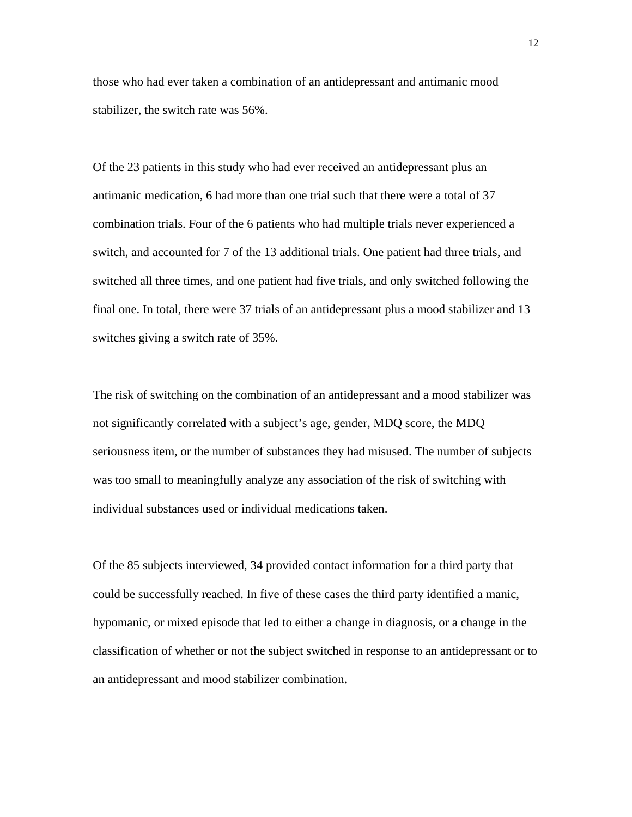those who had ever taken a combination of an antidepressant and antimanic mood stabilizer, the switch rate was 56%.

Of the 23 patients in this study who had ever received an antidepressant plus an antimanic medication, 6 had more than one trial such that there were a total of 37 combination trials. Four of the 6 patients who had multiple trials never experienced a switch, and accounted for 7 of the 13 additional trials. One patient had three trials, and switched all three times, and one patient had five trials, and only switched following the final one. In total, there were 37 trials of an antidepressant plus a mood stabilizer and 13 switches giving a switch rate of 35%.

The risk of switching on the combination of an antidepressant and a mood stabilizer was not significantly correlated with a subject's age, gender, MDQ score, the MDQ seriousness item, or the number of substances they had misused. The number of subjects was too small to meaningfully analyze any association of the risk of switching with individual substances used or individual medications taken.

Of the 85 subjects interviewed, 34 provided contact information for a third party that could be successfully reached. In five of these cases the third party identified a manic, hypomanic, or mixed episode that led to either a change in diagnosis, or a change in the classification of whether or not the subject switched in response to an antidepressant or to an antidepressant and mood stabilizer combination.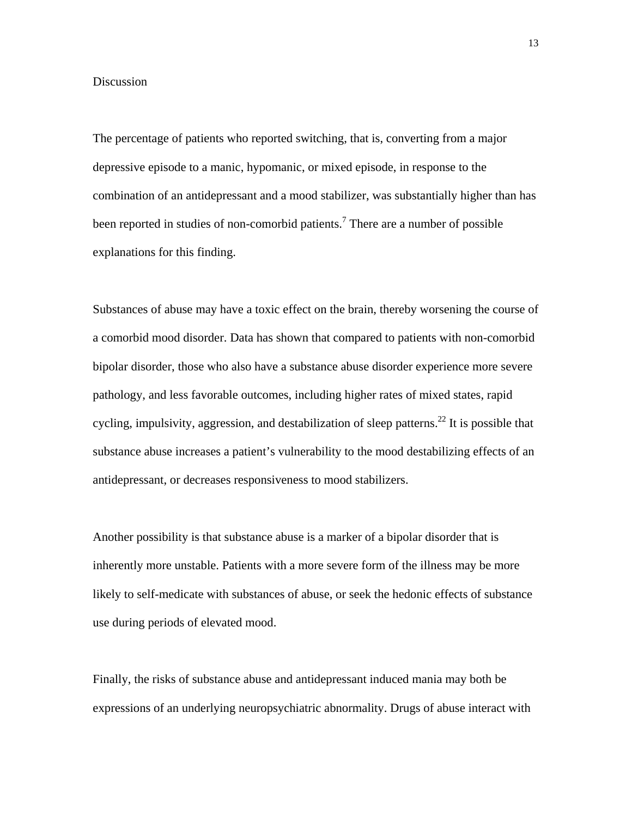#### Discussion

The percentage of patients who reported switching, that is, converting from a major depressive episode to a manic, hypomanic, or mixed episode, in response to the combination of an antidepressant and a mood stabilizer, was substantially higher than has been reported in studies of non-comorbid patients.<sup>7</sup> There are a number of possible explanations for this finding.

Substances of abuse may have a toxic effect on the brain, thereby worsening the course of a comorbid mood disorder. Data has shown that compared to patients with non-comorbid bipolar disorder, those who also have a substance abuse disorder experience more severe pathology, and less favorable outcomes, including higher rates of mixed states, rapid cycling, impulsivity, aggression, and destabilization of sleep patterns.<sup>22</sup> It is possible that substance abuse increases a patient's vulnerability to the mood destabilizing effects of an antidepressant, or decreases responsiveness to mood stabilizers.

Another possibility is that substance abuse is a marker of a bipolar disorder that is inherently more unstable. Patients with a more severe form of the illness may be more likely to self-medicate with substances of abuse, or seek the hedonic effects of substance use during periods of elevated mood.

Finally, the risks of substance abuse and antidepressant induced mania may both be expressions of an underlying neuropsychiatric abnormality. Drugs of abuse interact with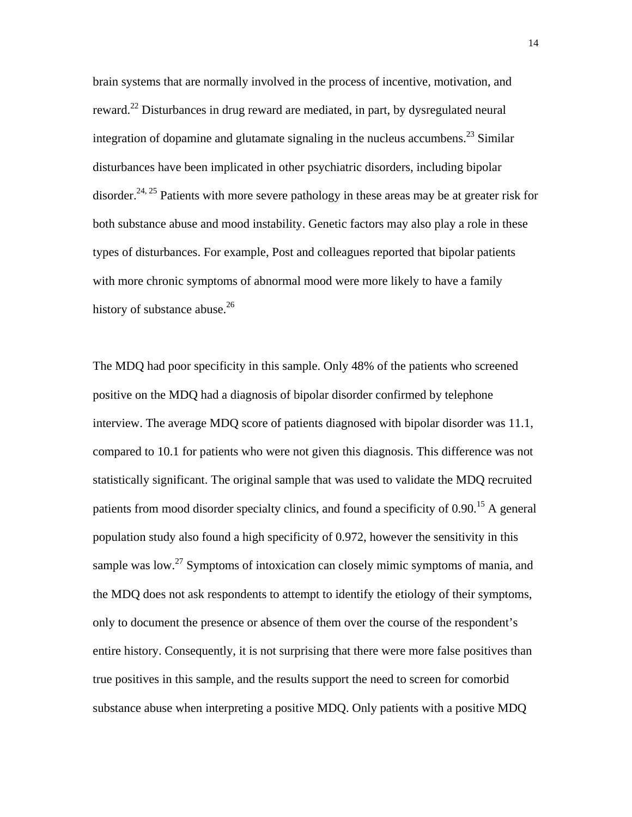brain systems that are normally involved in the process of incentive, motivation, and reward.22 Disturbances in drug reward are mediated, in part, by dysregulated neural integration of dopamine and glutamate signaling in the nucleus accumbens.<sup>23</sup> Similar disturbances have been implicated in other psychiatric disorders, including bipolar disorder.<sup>24, 25</sup> Patients with more severe pathology in these areas may be at greater risk for both substance abuse and mood instability. Genetic factors may also play a role in these types of disturbances. For example, Post and colleagues reported that bipolar patients with more chronic symptoms of abnormal mood were more likely to have a family history of substance abuse. $26$ 

The MDQ had poor specificity in this sample. Only 48% of the patients who screened positive on the MDQ had a diagnosis of bipolar disorder confirmed by telephone interview. The average MDQ score of patients diagnosed with bipolar disorder was 11.1, compared to 10.1 for patients who were not given this diagnosis. This difference was not statistically significant. The original sample that was used to validate the MDQ recruited patients from mood disorder specialty clinics, and found a specificity of 0.90.<sup>15</sup> A general population study also found a high specificity of 0.972, however the sensitivity in this sample was low.<sup>27</sup> Symptoms of intoxication can closely mimic symptoms of mania, and the MDQ does not ask respondents to attempt to identify the etiology of their symptoms, only to document the presence or absence of them over the course of the respondent's entire history. Consequently, it is not surprising that there were more false positives than true positives in this sample, and the results support the need to screen for comorbid substance abuse when interpreting a positive MDQ. Only patients with a positive MDQ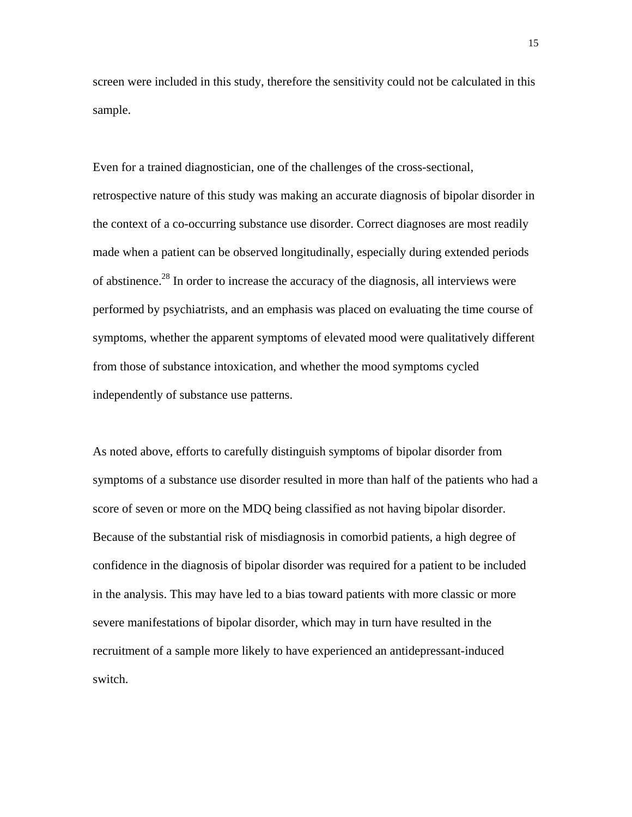screen were included in this study, therefore the sensitivity could not be calculated in this sample.

Even for a trained diagnostician, one of the challenges of the cross-sectional, retrospective nature of this study was making an accurate diagnosis of bipolar disorder in the context of a co-occurring substance use disorder. Correct diagnoses are most readily made when a patient can be observed longitudinally, especially during extended periods of abstinence.28 In order to increase the accuracy of the diagnosis, all interviews were performed by psychiatrists, and an emphasis was placed on evaluating the time course of symptoms, whether the apparent symptoms of elevated mood were qualitatively different from those of substance intoxication, and whether the mood symptoms cycled independently of substance use patterns.

As noted above, efforts to carefully distinguish symptoms of bipolar disorder from symptoms of a substance use disorder resulted in more than half of the patients who had a score of seven or more on the MDQ being classified as not having bipolar disorder. Because of the substantial risk of misdiagnosis in comorbid patients, a high degree of confidence in the diagnosis of bipolar disorder was required for a patient to be included in the analysis. This may have led to a bias toward patients with more classic or more severe manifestations of bipolar disorder, which may in turn have resulted in the recruitment of a sample more likely to have experienced an antidepressant-induced switch.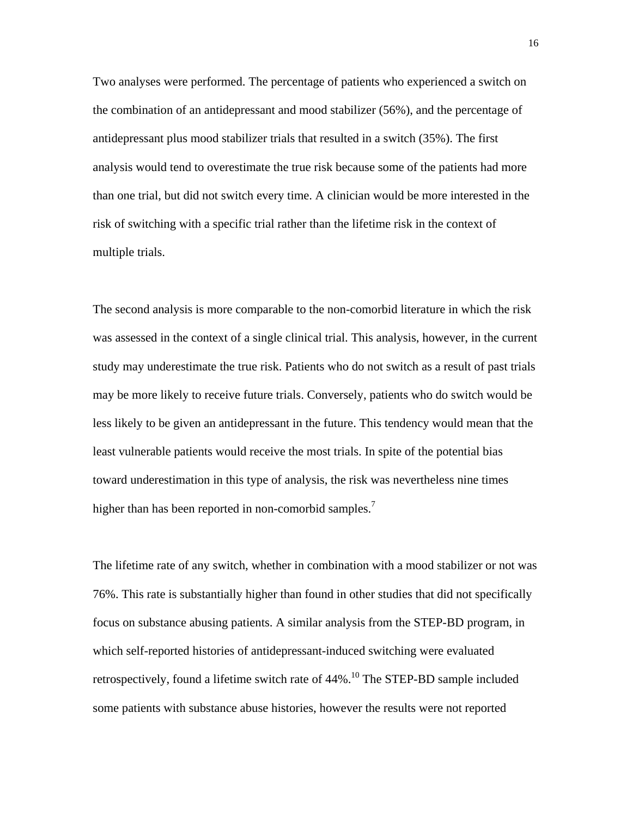Two analyses were performed. The percentage of patients who experienced a switch on the combination of an antidepressant and mood stabilizer (56%), and the percentage of antidepressant plus mood stabilizer trials that resulted in a switch (35%). The first analysis would tend to overestimate the true risk because some of the patients had more than one trial, but did not switch every time. A clinician would be more interested in the risk of switching with a specific trial rather than the lifetime risk in the context of multiple trials.

The second analysis is more comparable to the non-comorbid literature in which the risk was assessed in the context of a single clinical trial. This analysis, however, in the current study may underestimate the true risk. Patients who do not switch as a result of past trials may be more likely to receive future trials. Conversely, patients who do switch would be less likely to be given an antidepressant in the future. This tendency would mean that the least vulnerable patients would receive the most trials. In spite of the potential bias toward underestimation in this type of analysis, the risk was nevertheless nine times higher than has been reported in non-comorbid samples.<sup>7</sup>

The lifetime rate of any switch, whether in combination with a mood stabilizer or not was 76%. This rate is substantially higher than found in other studies that did not specifically focus on substance abusing patients. A similar analysis from the STEP-BD program, in which self-reported histories of antidepressant-induced switching were evaluated retrospectively, found a lifetime switch rate of  $44\%$ .<sup>10</sup> The STEP-BD sample included some patients with substance abuse histories, however the results were not reported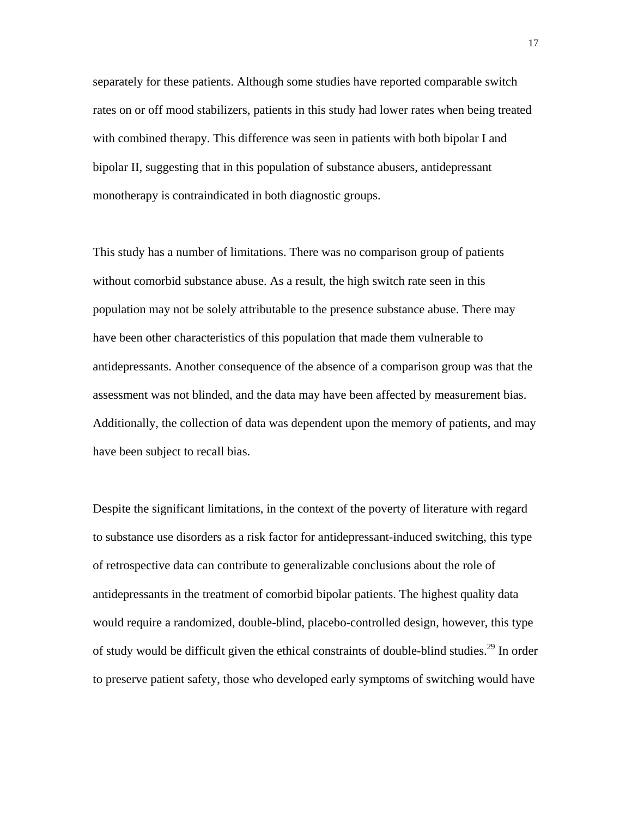separately for these patients. Although some studies have reported comparable switch rates on or off mood stabilizers, patients in this study had lower rates when being treated with combined therapy. This difference was seen in patients with both bipolar I and bipolar II, suggesting that in this population of substance abusers, antidepressant monotherapy is contraindicated in both diagnostic groups.

This study has a number of limitations. There was no comparison group of patients without comorbid substance abuse. As a result, the high switch rate seen in this population may not be solely attributable to the presence substance abuse. There may have been other characteristics of this population that made them vulnerable to antidepressants. Another consequence of the absence of a comparison group was that the assessment was not blinded, and the data may have been affected by measurement bias. Additionally, the collection of data was dependent upon the memory of patients, and may have been subject to recall bias.

Despite the significant limitations, in the context of the poverty of literature with regard to substance use disorders as a risk factor for antidepressant-induced switching, this type of retrospective data can contribute to generalizable conclusions about the role of antidepressants in the treatment of comorbid bipolar patients. The highest quality data would require a randomized, double-blind, placebo-controlled design, however, this type of study would be difficult given the ethical constraints of double-blind studies.<sup>29</sup> In order to preserve patient safety, those who developed early symptoms of switching would have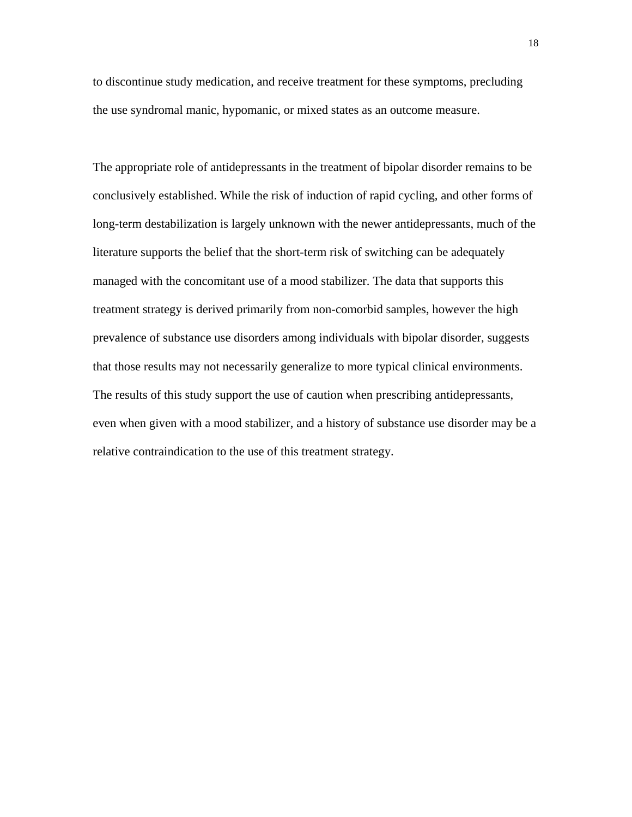to discontinue study medication, and receive treatment for these symptoms, precluding the use syndromal manic, hypomanic, or mixed states as an outcome measure.

The appropriate role of antidepressants in the treatment of bipolar disorder remains to be conclusively established. While the risk of induction of rapid cycling, and other forms of long-term destabilization is largely unknown with the newer antidepressants, much of the literature supports the belief that the short-term risk of switching can be adequately managed with the concomitant use of a mood stabilizer. The data that supports this treatment strategy is derived primarily from non-comorbid samples, however the high prevalence of substance use disorders among individuals with bipolar disorder, suggests that those results may not necessarily generalize to more typical clinical environments. The results of this study support the use of caution when prescribing antidepressants, even when given with a mood stabilizer, and a history of substance use disorder may be a relative contraindication to the use of this treatment strategy.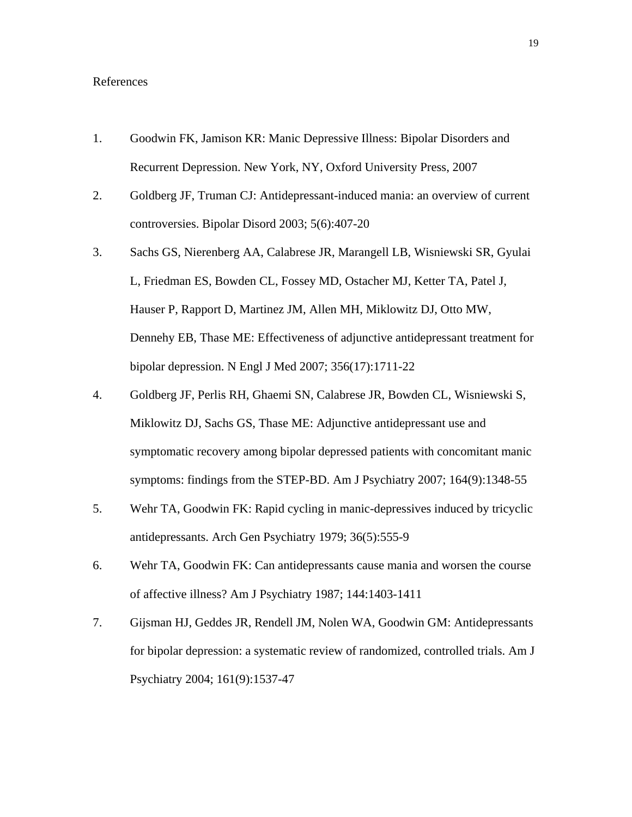## References

- 1. Goodwin FK, Jamison KR: Manic Depressive Illness: Bipolar Disorders and Recurrent Depression. New York, NY, Oxford University Press, 2007
- 2. Goldberg JF, Truman CJ: Antidepressant-induced mania: an overview of current controversies. Bipolar Disord 2003; 5(6):407-20
- 3. Sachs GS, Nierenberg AA, Calabrese JR, Marangell LB, Wisniewski SR, Gyulai L, Friedman ES, Bowden CL, Fossey MD, Ostacher MJ, Ketter TA, Patel J, Hauser P, Rapport D, Martinez JM, Allen MH, Miklowitz DJ, Otto MW, Dennehy EB, Thase ME: Effectiveness of adjunctive antidepressant treatment for bipolar depression. N Engl J Med 2007; 356(17):1711-22
- 4. Goldberg JF, Perlis RH, Ghaemi SN, Calabrese JR, Bowden CL, Wisniewski S, Miklowitz DJ, Sachs GS, Thase ME: Adjunctive antidepressant use and symptomatic recovery among bipolar depressed patients with concomitant manic symptoms: findings from the STEP-BD. Am J Psychiatry 2007; 164(9):1348-55
- 5. Wehr TA, Goodwin FK: Rapid cycling in manic-depressives induced by tricyclic antidepressants. Arch Gen Psychiatry 1979; 36(5):555-9
- 6. Wehr TA, Goodwin FK: Can antidepressants cause mania and worsen the course of affective illness? Am J Psychiatry 1987; 144:1403-1411
- 7. Gijsman HJ, Geddes JR, Rendell JM, Nolen WA, Goodwin GM: Antidepressants for bipolar depression: a systematic review of randomized, controlled trials. Am J Psychiatry 2004; 161(9):1537-47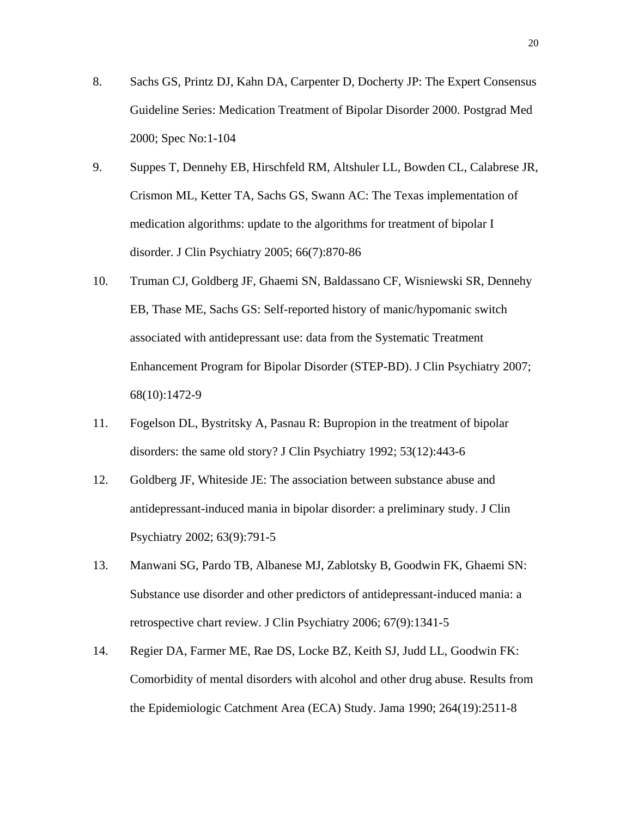- 8. Sachs GS, Printz DJ, Kahn DA, Carpenter D, Docherty JP: The Expert Consensus Guideline Series: Medication Treatment of Bipolar Disorder 2000. Postgrad Med 2000; Spec No:1-104
- 9. Suppes T, Dennehy EB, Hirschfeld RM, Altshuler LL, Bowden CL, Calabrese JR, Crismon ML, Ketter TA, Sachs GS, Swann AC: The Texas implementation of medication algorithms: update to the algorithms for treatment of bipolar I disorder. J Clin Psychiatry 2005; 66(7):870-86
- 10. Truman CJ, Goldberg JF, Ghaemi SN, Baldassano CF, Wisniewski SR, Dennehy EB, Thase ME, Sachs GS: Self-reported history of manic/hypomanic switch associated with antidepressant use: data from the Systematic Treatment Enhancement Program for Bipolar Disorder (STEP-BD). J Clin Psychiatry 2007; 68(10):1472-9
- 11. Fogelson DL, Bystritsky A, Pasnau R: Bupropion in the treatment of bipolar disorders: the same old story? J Clin Psychiatry 1992; 53(12):443-6
- 12. Goldberg JF, Whiteside JE: The association between substance abuse and antidepressant-induced mania in bipolar disorder: a preliminary study. J Clin Psychiatry 2002; 63(9):791-5
- 13. Manwani SG, Pardo TB, Albanese MJ, Zablotsky B, Goodwin FK, Ghaemi SN: Substance use disorder and other predictors of antidepressant-induced mania: a retrospective chart review. J Clin Psychiatry 2006; 67(9):1341-5
- 14. Regier DA, Farmer ME, Rae DS, Locke BZ, Keith SJ, Judd LL, Goodwin FK: Comorbidity of mental disorders with alcohol and other drug abuse. Results from the Epidemiologic Catchment Area (ECA) Study. Jama 1990; 264(19):2511-8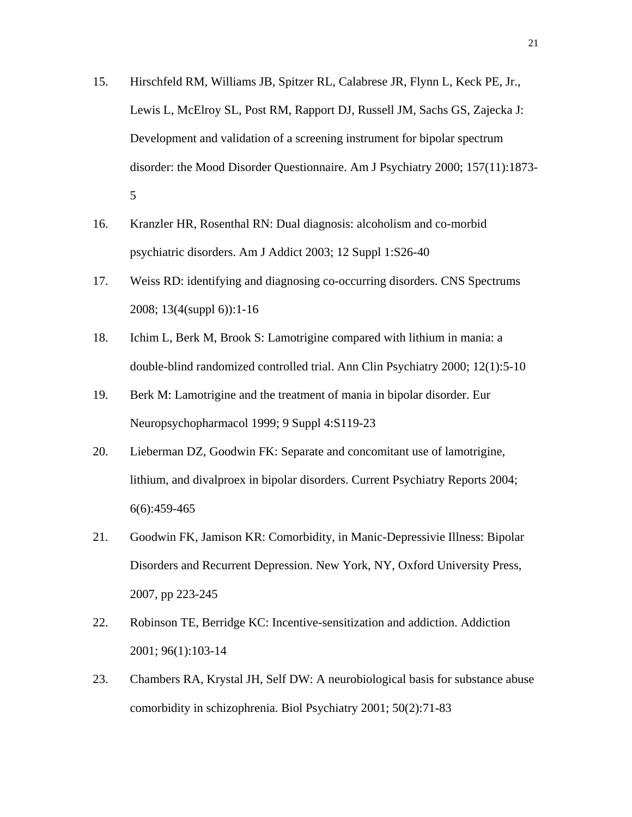- 15. Hirschfeld RM, Williams JB, Spitzer RL, Calabrese JR, Flynn L, Keck PE, Jr., Lewis L, McElroy SL, Post RM, Rapport DJ, Russell JM, Sachs GS, Zajecka J: Development and validation of a screening instrument for bipolar spectrum disorder: the Mood Disorder Questionnaire. Am J Psychiatry 2000; 157(11):1873- 5
- 16. Kranzler HR, Rosenthal RN: Dual diagnosis: alcoholism and co-morbid psychiatric disorders. Am J Addict 2003; 12 Suppl 1:S26-40
- 17. Weiss RD: identifying and diagnosing co-occurring disorders. CNS Spectrums 2008; 13(4(suppl 6)):1-16
- 18. Ichim L, Berk M, Brook S: Lamotrigine compared with lithium in mania: a double-blind randomized controlled trial. Ann Clin Psychiatry 2000; 12(1):5-10
- 19. Berk M: Lamotrigine and the treatment of mania in bipolar disorder. Eur Neuropsychopharmacol 1999; 9 Suppl 4:S119-23
- 20. Lieberman DZ, Goodwin FK: Separate and concomitant use of lamotrigine, lithium, and divalproex in bipolar disorders. Current Psychiatry Reports 2004; 6(6):459-465
- 21. Goodwin FK, Jamison KR: Comorbidity, in Manic-Depressivie Illness: Bipolar Disorders and Recurrent Depression. New York, NY, Oxford University Press, 2007, pp 223-245
- 22. Robinson TE, Berridge KC: Incentive-sensitization and addiction. Addiction 2001; 96(1):103-14
- 23. Chambers RA, Krystal JH, Self DW: A neurobiological basis for substance abuse comorbidity in schizophrenia. Biol Psychiatry 2001; 50(2):71-83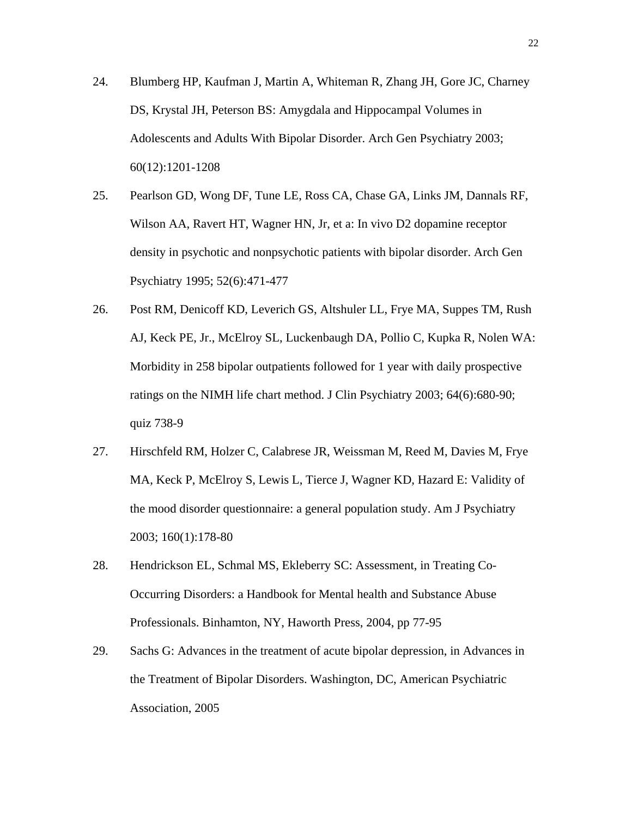- 24. Blumberg HP, Kaufman J, Martin A, Whiteman R, Zhang JH, Gore JC, Charney DS, Krystal JH, Peterson BS: Amygdala and Hippocampal Volumes in Adolescents and Adults With Bipolar Disorder. Arch Gen Psychiatry 2003; 60(12):1201-1208
- 25. Pearlson GD, Wong DF, Tune LE, Ross CA, Chase GA, Links JM, Dannals RF, Wilson AA, Ravert HT, Wagner HN, Jr, et a: In vivo D2 dopamine receptor density in psychotic and nonpsychotic patients with bipolar disorder. Arch Gen Psychiatry 1995; 52(6):471-477
- 26. Post RM, Denicoff KD, Leverich GS, Altshuler LL, Frye MA, Suppes TM, Rush AJ, Keck PE, Jr., McElroy SL, Luckenbaugh DA, Pollio C, Kupka R, Nolen WA: Morbidity in 258 bipolar outpatients followed for 1 year with daily prospective ratings on the NIMH life chart method. J Clin Psychiatry 2003; 64(6):680-90; quiz 738-9
- 27. Hirschfeld RM, Holzer C, Calabrese JR, Weissman M, Reed M, Davies M, Frye MA, Keck P, McElroy S, Lewis L, Tierce J, Wagner KD, Hazard E: Validity of the mood disorder questionnaire: a general population study. Am J Psychiatry 2003; 160(1):178-80
- 28. Hendrickson EL, Schmal MS, Ekleberry SC: Assessment, in Treating Co-Occurring Disorders: a Handbook for Mental health and Substance Abuse Professionals. Binhamton, NY, Haworth Press, 2004, pp 77-95
- 29. Sachs G: Advances in the treatment of acute bipolar depression, in Advances in the Treatment of Bipolar Disorders. Washington, DC, American Psychiatric Association, 2005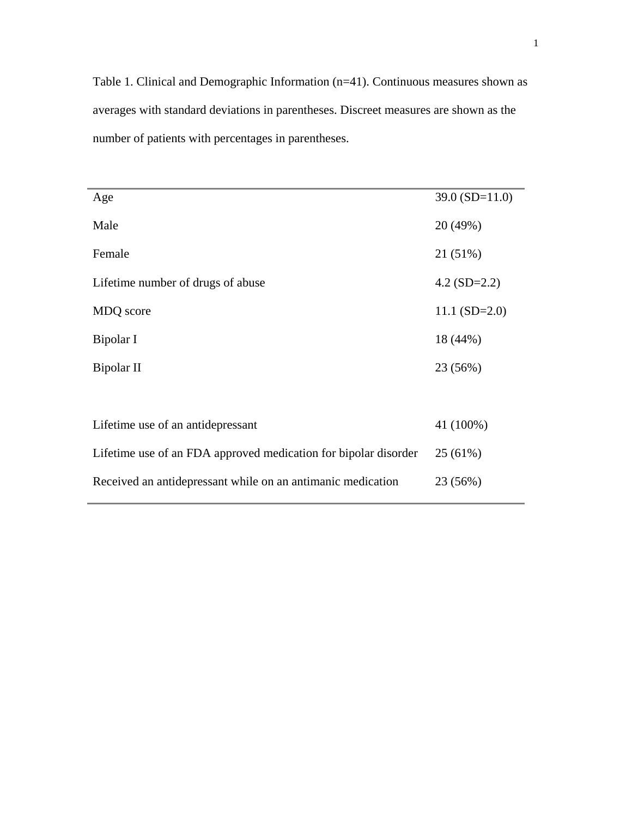Table 1. Clinical and Demographic Information (n=41). Continuous measures shown as averages with standard deviations in parentheses. Discreet measures are shown as the number of patients with percentages in parentheses.

| Age                                                             | $39.0$ (SD=11.0) |
|-----------------------------------------------------------------|------------------|
| Male                                                            | 20 (49%)         |
| Female                                                          | 21 (51%)         |
| Lifetime number of drugs of abuse                               | 4.2 $(SD=2.2)$   |
| MDQ score                                                       | $11.1(SD=2.0)$   |
| Bipolar I                                                       | 18 (44%)         |
| Bipolar II                                                      | 23 (56%)         |
|                                                                 |                  |
| Lifetime use of an antidepressant                               | 41 (100%)        |
| Lifetime use of an FDA approved medication for bipolar disorder | 25 (61%)         |
| Received an antidepressant while on an antimanic medication     | 23 (56%)         |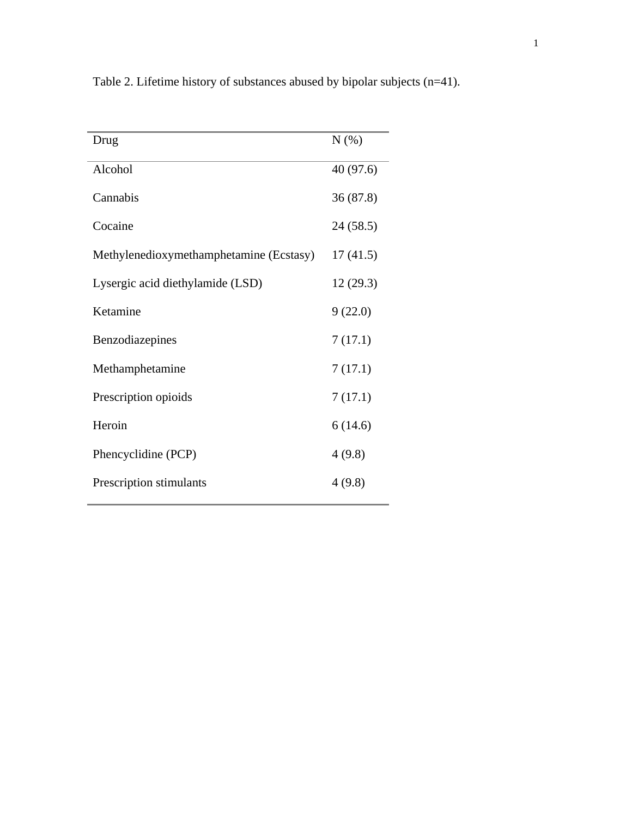| Drug                                    | N(% )     |
|-----------------------------------------|-----------|
| Alcohol                                 | 40 (97.6) |
| Cannabis                                | 36(87.8)  |
| Cocaine                                 | 24(58.5)  |
| Methylenedioxymethamphetamine (Ecstasy) | 17(41.5)  |
| Lysergic acid diethylamide (LSD)        | 12(29.3)  |
| Ketamine                                | 9(22.0)   |
| Benzodiazepines                         | 7(17.1)   |
| Methamphetamine                         | 7(17.1)   |
| Prescription opioids                    | 7(17.1)   |
| Heroin                                  | 6(14.6)   |
| Phencyclidine (PCP)                     | 4(9.8)    |
| Prescription stimulants                 | 4(9.8)    |
|                                         |           |

Table 2. Lifetime history of substances abused by bipolar subjects (n=41).